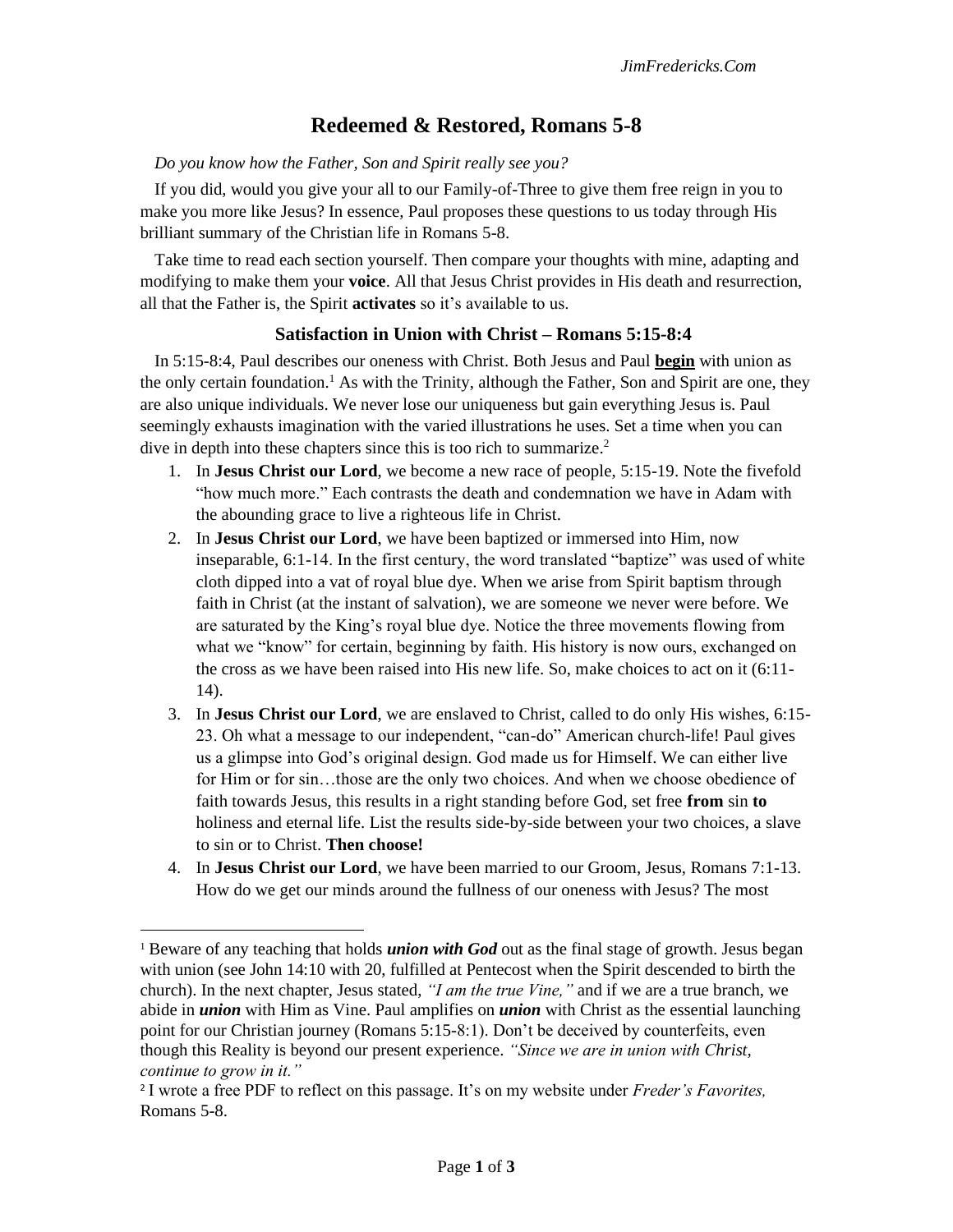# **Redeemed & Restored, Romans 5-8**

#### *Do you know how the Father, Son and Spirit really see you?*

If you did, would you give your all to our Family-of-Three to give them free reign in you to make you more like Jesus? In essence, Paul proposes these questions to us today through His brilliant summary of the Christian life in Romans 5-8.

Take time to read each section yourself. Then compare your thoughts with mine, adapting and modifying to make them your **voice**. All that Jesus Christ provides in His death and resurrection, all that the Father is, the Spirit **activates** so it's available to us.

# **Satisfaction in Union with Christ – Romans 5:15-8:4**

In 5:15-8:4, Paul describes our oneness with Christ. Both Jesus and Paul **begin** with union as the only certain foundation.<sup>1</sup> As with the Trinity, although the Father, Son and Spirit are one, they are also unique individuals. We never lose our uniqueness but gain everything Jesus is. Paul seemingly exhausts imagination with the varied illustrations he uses. Set a time when you can dive in depth into these chapters since this is too rich to summarize.<sup>2</sup>

- 1. In **Jesus Christ our Lord**, we become a new race of people, 5:15-19. Note the fivefold "how much more." Each contrasts the death and condemnation we have in Adam with the abounding grace to live a righteous life in Christ.
- 2. In **Jesus Christ our Lord**, we have been baptized or immersed into Him, now inseparable, 6:1-14. In the first century, the word translated "baptize" was used of white cloth dipped into a vat of royal blue dye. When we arise from Spirit baptism through faith in Christ (at the instant of salvation), we are someone we never were before. We are saturated by the King's royal blue dye. Notice the three movements flowing from what we "know" for certain, beginning by faith. His history is now ours, exchanged on the cross as we have been raised into His new life. So, make choices to act on it (6:11- 14).
- 3. In **Jesus Christ our Lord**, we are enslaved to Christ, called to do only His wishes, 6:15- 23. Oh what a message to our independent, "can-do" American church-life! Paul gives us a glimpse into God's original design. God made us for Himself. We can either live for Him or for sin...those are the only two choices. And when we choose obedience of faith towards Jesus, this results in a right standing before God, set free **from** sin **to** holiness and eternal life. List the results side-by-side between your two choices, a slave to sin or to Christ. **Then choose!**
- 4. In **Jesus Christ our Lord**, we have been married to our Groom, Jesus, Romans 7:1-13. How do we get our minds around the fullness of our oneness with Jesus? The most

<sup>&</sup>lt;sup>1</sup> Beware of any teaching that holds *union with God* out as the final stage of growth. Jesus began with union (see John 14:10 with 20, fulfilled at Pentecost when the Spirit descended to birth the church). In the next chapter, Jesus stated, *"I am the true Vine,"* and if we are a true branch, we abide in *union* with Him as Vine. Paul amplifies on *union* with Christ as the essential launching point for our Christian journey (Romans 5:15-8:1). Don't be deceived by counterfeits, even though this Reality is beyond our present experience. *"Since we are in union with Christ, continue to grow in it."*

<sup>2</sup> I wrote a free PDF to reflect on this passage. It's on my website under *Freder's Favorites,*  Romans 5-8.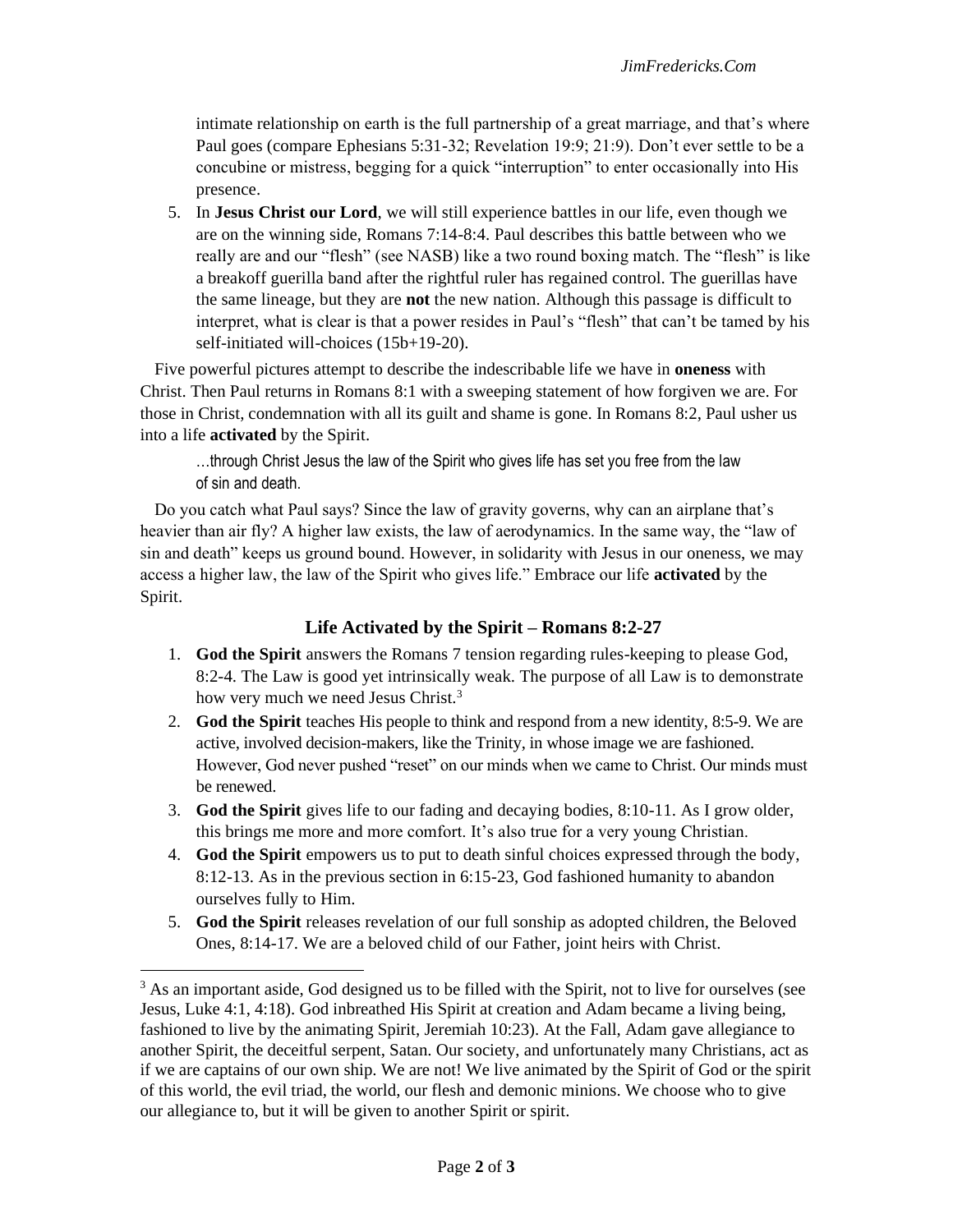intimate relationship on earth is the full partnership of a great marriage, and that's where Paul goes (compare Ephesians 5:31-32; Revelation 19:9; 21:9). Don't ever settle to be a concubine or mistress, begging for a quick "interruption" to enter occasionally into His presence.

5. In **Jesus Christ our Lord**, we will still experience battles in our life, even though we are on the winning side, Romans 7:14-8:4. Paul describes this battle between who we really are and our "flesh" (see NASB) like a two round boxing match. The "flesh" is like a breakoff guerilla band after the rightful ruler has regained control. The guerillas have the same lineage, but they are **not** the new nation. Although this passage is difficult to interpret, what is clear is that a power resides in Paul's "flesh" that can't be tamed by his self-initiated will-choices (15b+19-20).

Five powerful pictures attempt to describe the indescribable life we have in **oneness** with Christ. Then Paul returns in Romans 8:1 with a sweeping statement of how forgiven we are. For those in Christ, condemnation with all its guilt and shame is gone. In Romans 8:2, Paul usher us into a life **activated** by the Spirit.

…through Christ Jesus the law of the Spirit who gives life has set you free from the law of sin and death.

Do you catch what Paul says? Since the law of gravity governs, why can an airplane that's heavier than air fly? A higher law exists, the law of aerodynamics. In the same way, the "law of sin and death" keeps us ground bound. However, in solidarity with Jesus in our oneness, we may access a higher law, the law of the Spirit who gives life." Embrace our life **activated** by the Spirit.

## **Life Activated by the Spirit – Romans 8:2-27**

- 1. **God the Spirit** answers the Romans 7 tension regarding rules-keeping to please God, 8:2-4. The Law is good yet intrinsically weak. The purpose of all Law is to demonstrate how very much we need Jesus Christ.<sup>3</sup>
- 2. **God the Spirit** teaches His people to think and respond from a new identity, 8:5-9. We are active, involved decision-makers, like the Trinity, in whose image we are fashioned. However, God never pushed "reset" on our minds when we came to Christ. Our minds must be renewed.
- 3. **God the Spirit** gives life to our fading and decaying bodies, 8:10-11. As I grow older, this brings me more and more comfort. It's also true for a very young Christian.
- 4. **God the Spirit** empowers us to put to death sinful choices expressed through the body, 8:12-13. As in the previous section in 6:15-23, God fashioned humanity to abandon ourselves fully to Him.
- 5. **God the Spirit** releases revelation of our full sonship as adopted children, the Beloved Ones, 8:14-17. We are a beloved child of our Father, joint heirs with Christ.

<sup>&</sup>lt;sup>3</sup> As an important aside, God designed us to be filled with the Spirit, not to live for ourselves (see Jesus, Luke 4:1, 4:18). God inbreathed His Spirit at creation and Adam became a living being, fashioned to live by the animating Spirit, Jeremiah 10:23). At the Fall, Adam gave allegiance to another Spirit, the deceitful serpent, Satan. Our society, and unfortunately many Christians, act as if we are captains of our own ship. We are not! We live animated by the Spirit of God or the spirit of this world, the evil triad, the world, our flesh and demonic minions. We choose who to give our allegiance to, but it will be given to another Spirit or spirit.